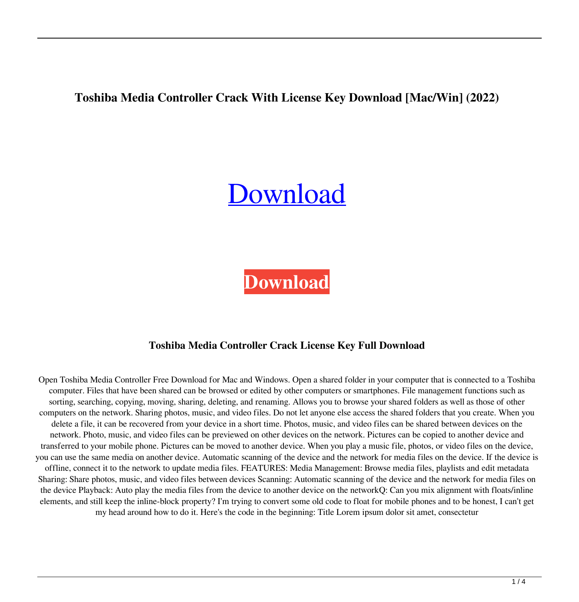**Toshiba Media Controller Crack With License Key Download [Mac/Win] (2022)**

# [Download](http://evacdir.com/videoselect&airfield/hairiness/?barbarian=ZG93bmxvYWR8dDQ3YnpBemZId3hOalUwTlRJeU1URXdmSHd5TlRrd2ZId29UU2tnVjI5eVpIQnlaWE56SUZ0WVRVeFNVRU1nVmpJZ1VFUkdYUQ&VG9zaGliYSBNZWRpYSBDb250cm9sbGVyVG9=newfield)

**[Download](http://evacdir.com/videoselect&airfield/hairiness/?barbarian=ZG93bmxvYWR8dDQ3YnpBemZId3hOalUwTlRJeU1URXdmSHd5TlRrd2ZId29UU2tnVjI5eVpIQnlaWE56SUZ0WVRVeFNVRU1nVmpJZ1VFUkdYUQ&VG9zaGliYSBNZWRpYSBDb250cm9sbGVyVG9=newfield)**

## **Toshiba Media Controller Crack License Key Full Download**

Open Toshiba Media Controller Free Download for Mac and Windows. Open a shared folder in your computer that is connected to a Toshiba computer. Files that have been shared can be browsed or edited by other computers or smartphones. File management functions such as sorting, searching, copying, moving, sharing, deleting, and renaming. Allows you to browse your shared folders as well as those of other computers on the network. Sharing photos, music, and video files. Do not let anyone else access the shared folders that you create. When you delete a file, it can be recovered from your device in a short time. Photos, music, and video files can be shared between devices on the network. Photo, music, and video files can be previewed on other devices on the network. Pictures can be copied to another device and transferred to your mobile phone. Pictures can be moved to another device. When you play a music file, photos, or video files on the device, you can use the same media on another device. Automatic scanning of the device and the network for media files on the device. If the device is offline, connect it to the network to update media files. FEATURES: Media Management: Browse media files, playlists and edit metadata Sharing: Share photos, music, and video files between devices Scanning: Automatic scanning of the device and the network for media files on the device Playback: Auto play the media files from the device to another device on the networkQ: Can you mix alignment with floats/inline elements, and still keep the inline-block property? I'm trying to convert some old code to float for mobile phones and to be honest, I can't get my head around how to do it. Here's the code in the beginning: Title Lorem ipsum dolor sit amet, consectetur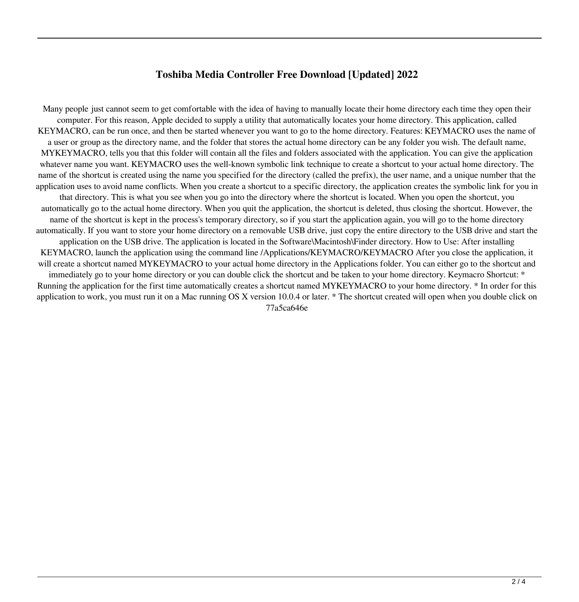### **Toshiba Media Controller Free Download [Updated] 2022**

Many people just cannot seem to get comfortable with the idea of having to manually locate their home directory each time they open their computer. For this reason, Apple decided to supply a utility that automatically locates your home directory. This application, called KEYMACRO, can be run once, and then be started whenever you want to go to the home directory. Features: KEYMACRO uses the name of a user or group as the directory name, and the folder that stores the actual home directory can be any folder you wish. The default name, MYKEYMACRO, tells you that this folder will contain all the files and folders associated with the application. You can give the application whatever name you want. KEYMACRO uses the well-known symbolic link technique to create a shortcut to your actual home directory. The name of the shortcut is created using the name you specified for the directory (called the prefix), the user name, and a unique number that the application uses to avoid name conflicts. When you create a shortcut to a specific directory, the application creates the symbolic link for you in that directory. This is what you see when you go into the directory where the shortcut is located. When you open the shortcut, you automatically go to the actual home directory. When you quit the application, the shortcut is deleted, thus closing the shortcut. However, the name of the shortcut is kept in the process's temporary directory, so if you start the application again, you will go to the home directory automatically. If you want to store your home directory on a removable USB drive, just copy the entire directory to the USB drive and start the application on the USB drive. The application is located in the Software\Macintosh\Finder directory. How to Use: After installing KEYMACRO, launch the application using the command line /Applications/KEYMACRO/KEYMACRO After you close the application, it will create a shortcut named MYKEYMACRO to your actual home directory in the Applications folder. You can either go to the shortcut and immediately go to your home directory or you can double click the shortcut and be taken to your home directory. Keymacro Shortcut: \* Running the application for the first time automatically creates a shortcut named MYKEYMACRO to your home directory. \* In order for this application to work, you must run it on a Mac running OS X version 10.0.4 or later. \* The shortcut created will open when you double click on 77a5ca646e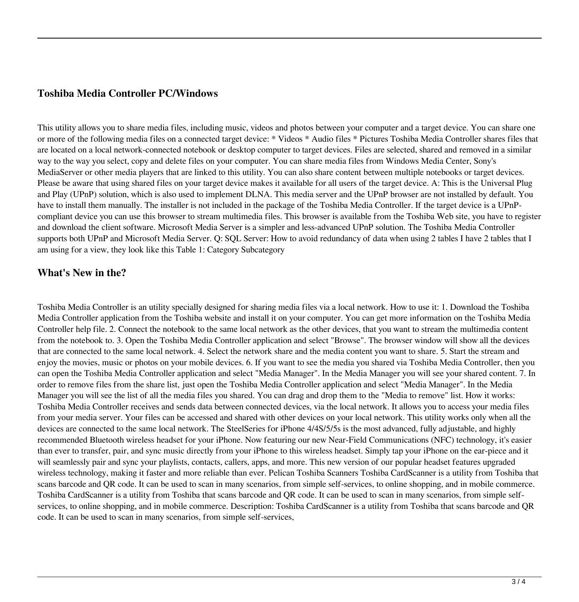#### **Toshiba Media Controller PC/Windows**

This utility allows you to share media files, including music, videos and photos between your computer and a target device. You can share one or more of the following media files on a connected target device: \* Videos \* Audio files \* Pictures Toshiba Media Controller shares files that are located on a local network-connected notebook or desktop computer to target devices. Files are selected, shared and removed in a similar way to the way you select, copy and delete files on your computer. You can share media files from Windows Media Center, Sony's MediaServer or other media players that are linked to this utility. You can also share content between multiple notebooks or target devices. Please be aware that using shared files on your target device makes it available for all users of the target device. A: This is the Universal Plug and Play (UPnP) solution, which is also used to implement DLNA. This media server and the UPnP browser are not installed by default. You have to install them manually. The installer is not included in the package of the Toshiba Media Controller. If the target device is a UPnPcompliant device you can use this browser to stream multimedia files. This browser is available from the Toshiba Web site, you have to register and download the client software. Microsoft Media Server is a simpler and less-advanced UPnP solution. The Toshiba Media Controller supports both UPnP and Microsoft Media Server. Q: SQL Server: How to avoid redundancy of data when using 2 tables I have 2 tables that I am using for a view, they look like this Table 1: Category Subcategory

#### **What's New in the?**

Toshiba Media Controller is an utility specially designed for sharing media files via a local network. How to use it: 1. Download the Toshiba Media Controller application from the Toshiba website and install it on your computer. You can get more information on the Toshiba Media Controller help file. 2. Connect the notebook to the same local network as the other devices, that you want to stream the multimedia content from the notebook to. 3. Open the Toshiba Media Controller application and select "Browse". The browser window will show all the devices that are connected to the same local network. 4. Select the network share and the media content you want to share. 5. Start the stream and enjoy the movies, music or photos on your mobile devices. 6. If you want to see the media you shared via Toshiba Media Controller, then you can open the Toshiba Media Controller application and select "Media Manager". In the Media Manager you will see your shared content. 7. In order to remove files from the share list, just open the Toshiba Media Controller application and select "Media Manager". In the Media Manager you will see the list of all the media files you shared. You can drag and drop them to the "Media to remove" list. How it works: Toshiba Media Controller receives and sends data between connected devices, via the local network. It allows you to access your media files from your media server. Your files can be accessed and shared with other devices on your local network. This utility works only when all the devices are connected to the same local network. The SteelSeries for iPhone 4/4S/5/5s is the most advanced, fully adjustable, and highly recommended Bluetooth wireless headset for your iPhone. Now featuring our new Near-Field Communications (NFC) technology, it's easier than ever to transfer, pair, and sync music directly from your iPhone to this wireless headset. Simply tap your iPhone on the ear-piece and it will seamlessly pair and sync your playlists, contacts, callers, apps, and more. This new version of our popular headset features upgraded wireless technology, making it faster and more reliable than ever. Pelican Toshiba Scanners Toshiba CardScanner is a utility from Toshiba that scans barcode and QR code. It can be used to scan in many scenarios, from simple self-services, to online shopping, and in mobile commerce. Toshiba CardScanner is a utility from Toshiba that scans barcode and QR code. It can be used to scan in many scenarios, from simple selfservices, to online shopping, and in mobile commerce. Description: Toshiba CardScanner is a utility from Toshiba that scans barcode and QR code. It can be used to scan in many scenarios, from simple self-services,